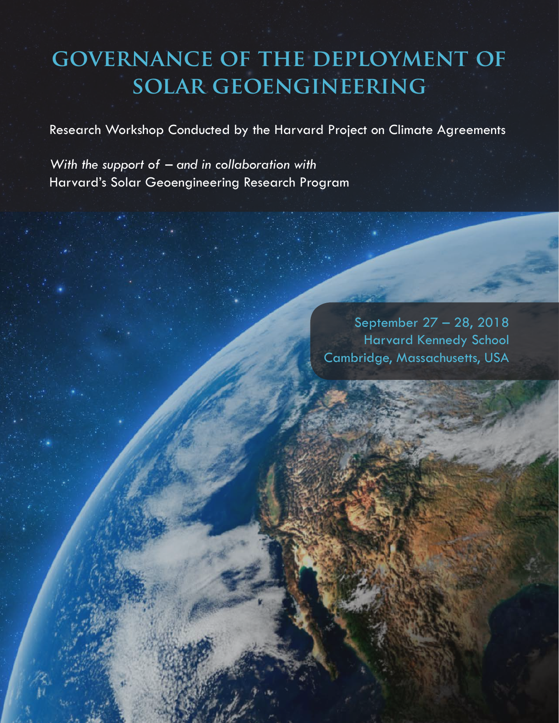# **governance of the deployment of solar geoengineering**

Research Workshop Conducted by the Harvard Project on Climate Agreements

*With the support of – and in collaboration with* Harvard's Solar Geoengineering Research Program

> September 27 – 28, 2018 Harvard Kennedy School Cambridge, Massachusetts, USA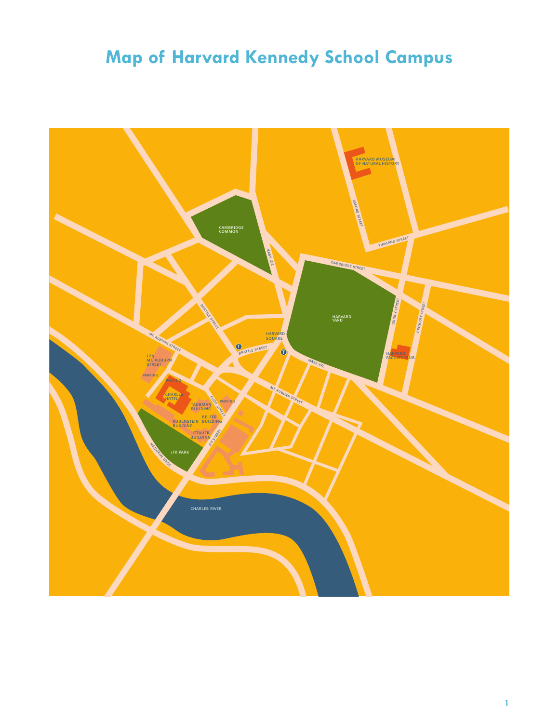# **Map of Harvard Kennedy School Campus**

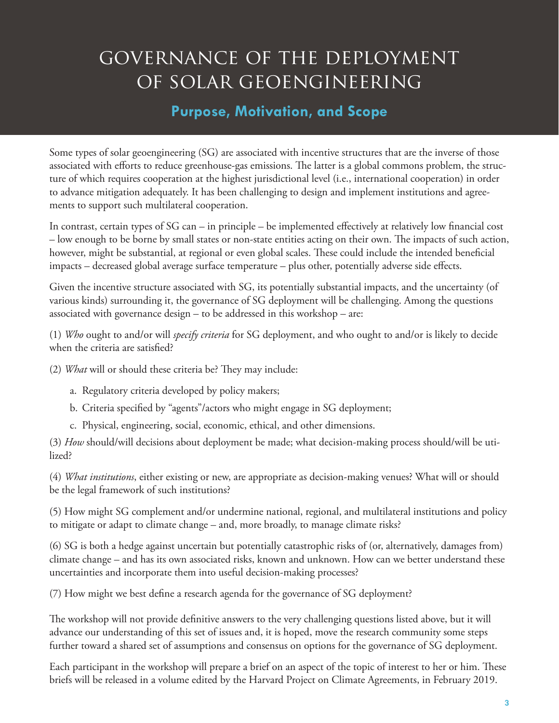# governance of the deployment of solar geoengineering

### **Purpose, Motivation, and Scope**

Some types of solar geoengineering (SG) are associated with incentive structures that are the inverse of those associated with efforts to reduce greenhouse-gas emissions. The latter is a global commons problem, the structure of which requires cooperation at the highest jurisdictional level (i.e., international cooperation) in order to advance mitigation adequately. It has been challenging to design and implement institutions and agreements to support such multilateral cooperation.

In contrast, certain types of SG can – in principle – be implemented effectively at relatively low financial cost – low enough to be borne by small states or non-state entities acting on their own. The impacts of such action, however, might be substantial, at regional or even global scales. These could include the intended beneficial impacts – decreased global average surface temperature – plus other, potentially adverse side effects.

Given the incentive structure associated with SG, its potentially substantial impacts, and the uncertainty (of various kinds) surrounding it, the governance of SG deployment will be challenging. Among the questions associated with governance design – to be addressed in this workshop – are:

(1) *Who* ought to and/or will *specify criteria* for SG deployment, and who ought to and/or is likely to decide when the criteria are satisfied?

(2) *What* will or should these criteria be? They may include:

- a. Regulatory criteria developed by policy makers;
- b. Criteria specified by "agents"/actors who might engage in SG deployment;
- c. Physical, engineering, social, economic, ethical, and other dimensions.

(3) *How* should/will decisions about deployment be made; what decision-making process should/will be utilized?

(4) *What institutions*, either existing or new, are appropriate as decision-making venues? What will or should be the legal framework of such institutions?

(5) How might SG complement and/or undermine national, regional, and multilateral institutions and policy to mitigate or adapt to climate change – and, more broadly, to manage climate risks?

(6) SG is both a hedge against uncertain but potentially catastrophic risks of (or, alternatively, damages from) climate change – and has its own associated risks, known and unknown. How can we better understand these uncertainties and incorporate them into useful decision-making processes?

(7) How might we best define a research agenda for the governance of SG deployment?

The workshop will not provide definitive answers to the very challenging questions listed above, but it will advance our understanding of this set of issues and, it is hoped, move the research community some steps further toward a shared set of assumptions and consensus on options for the governance of SG deployment.

Each participant in the workshop will prepare a brief on an aspect of the topic of interest to her or him. These briefs will be released in a volume edited by the Harvard Project on Climate Agreements, in February 2019.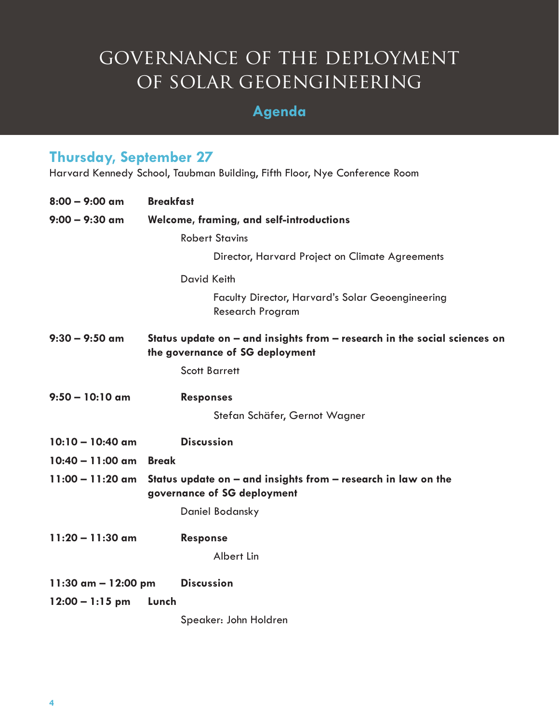# governance of the deployment of solar geoengineering

## **Agenda**

## **Thursday, September 27**

Harvard Kennedy School, Taubman Building, Fifth Floor, Nye Conference Room

| $8:00 - 9:00$ am      | <b>Breakfast</b>                                                                                                 |
|-----------------------|------------------------------------------------------------------------------------------------------------------|
| $9:00 - 9:30$ am      | Welcome, framing, and self-introductions                                                                         |
|                       | <b>Robert Stavins</b>                                                                                            |
|                       | Director, Harvard Project on Climate Agreements                                                                  |
|                       | <b>David Keith</b>                                                                                               |
|                       | Faculty Director, Harvard's Solar Geoengineering<br><b>Research Program</b>                                      |
| $9:30 - 9:50$ am      | Status update on $-$ and insights from $-$ research in the social sciences on<br>the governance of SG deployment |
|                       | <b>Scott Barrett</b>                                                                                             |
| $9:50 - 10:10$ am     | <b>Responses</b>                                                                                                 |
|                       | Stefan Schäfer, Gernot Wagner                                                                                    |
| $10:10 - 10:40$ am    | <b>Discussion</b>                                                                                                |
| $10:40 - 11:00$ am    | <b>Break</b>                                                                                                     |
| $11:00 - 11:20$ am    | Status update on - and insights from - research in law on the<br>governance of SG deployment                     |
|                       | Daniel Bodansky                                                                                                  |
| $11:20 - 11:30$ am    | <b>Response</b>                                                                                                  |
|                       | Albert Lin                                                                                                       |
| 11:30 $am - 12:00$ pm | <b>Discussion</b>                                                                                                |
| $12:00 - 1:15$ pm     | Lunch                                                                                                            |
|                       | Speaker: John Holdren                                                                                            |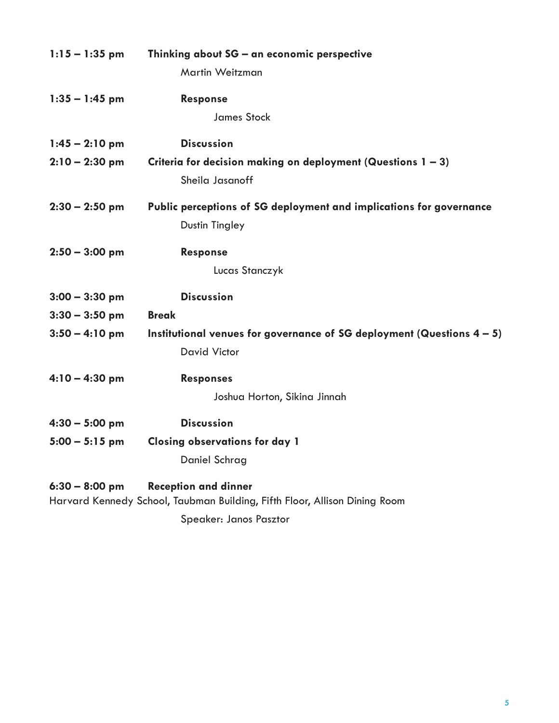| $1:15 - 1:35$ pm | Thinking about SG – an economic perspective<br>Martin Weitzman                                            |
|------------------|-----------------------------------------------------------------------------------------------------------|
| $1:35 - 1:45$ pm | <b>Response</b>                                                                                           |
|                  | <b>James Stock</b>                                                                                        |
| $1:45 - 2:10$ pm | <b>Discussion</b>                                                                                         |
| $2:10 - 2:30$ pm | Criteria for decision making on deployment (Questions $1 - 3$ )                                           |
|                  | Sheila Jasanoff                                                                                           |
| $2:30 - 2:50$ pm | Public perceptions of SG deployment and implications for governance                                       |
|                  | <b>Dustin Tingley</b>                                                                                     |
| $2:50 - 3:00$ pm | <b>Response</b>                                                                                           |
|                  | Lucas Stanczyk                                                                                            |
| $3:00 - 3:30$ pm | <b>Discussion</b>                                                                                         |
| $3:30 - 3:50$ pm | <b>Break</b>                                                                                              |
| $3:50 - 4:10$ pm | Institutional venues for governance of SG deployment (Questions $4 - 5$ )                                 |
|                  | <b>David Victor</b>                                                                                       |
| $4:10 - 4:30$ pm | <b>Responses</b>                                                                                          |
|                  | Joshua Horton, Sikina Jinnah                                                                              |
| $4:30 - 5:00$ pm | <b>Discussion</b>                                                                                         |
| $5:00 - 5:15$ pm | <b>Closing observations for day 1</b>                                                                     |
|                  | Daniel Schrag                                                                                             |
| $6:30 - 8:00$ pm | <b>Reception and dinner</b><br>Harvard Kennedy School, Taubman Building, Fifth Floor, Allison Dining Room |
|                  | Speaker: Janos Pasztor                                                                                    |
|                  |                                                                                                           |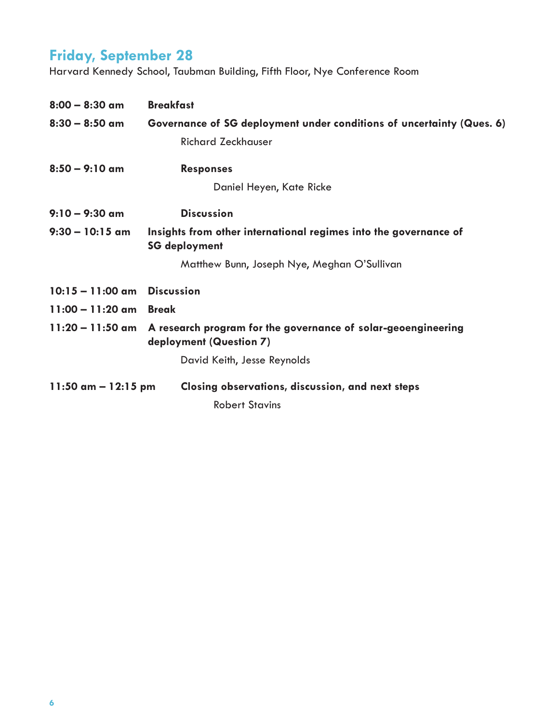## **Friday, September 28**

Harvard Kennedy School, Taubman Building, Fifth Floor, Nye Conference Room

| $8:00 - 8:30$ am              | <b>Breakfast</b>                                                                         |
|-------------------------------|------------------------------------------------------------------------------------------|
| $8:30 - 8:50$ am              | Governance of SG deployment under conditions of uncertainty (Ques. 6)                    |
|                               | <b>Richard Zeckhauser</b>                                                                |
| $8:50 - 9:10$ am              | <b>Responses</b>                                                                         |
|                               | Daniel Heyen, Kate Ricke                                                                 |
| $9:10 - 9:30$ am              | <b>Discussion</b>                                                                        |
| $9:30 - 10:15$ am             | Insights from other international regimes into the governance of<br><b>SG deployment</b> |
|                               | Matthew Bunn, Joseph Nye, Meghan O'Sullivan                                              |
| $10:15 - 11:00$ am Discussion |                                                                                          |
| $11:00 - 11:20$ am            | <b>Break</b>                                                                             |
| $11:20 - 11:50$ am            | A research program for the governance of solar-geoengineering<br>deployment (Question 7) |
|                               | David Keith, Jesse Reynolds                                                              |
| $11:50$ am $- 12:15$ pm       | Closing observations, discussion, and next steps                                         |
|                               | <b>Robert Stavins</b>                                                                    |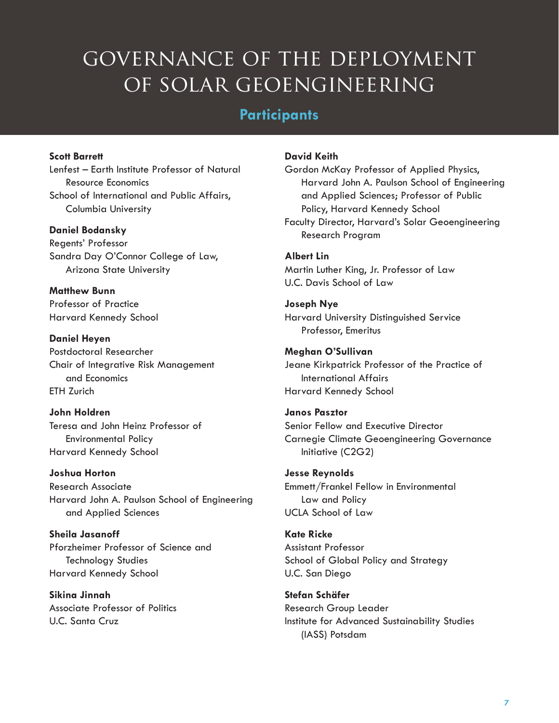# governance of the deployment OF SOLAR GEOENGINEERING

### **Participants**

#### **Scott Barrett**

Lenfest – Earth Institute Professor of Natural Resource Economics School of International and Public Affairs, Columbia University

#### **Daniel Bodansky**

Regents' Professor Sandra Day O'Connor College of Law, Arizona State University

**Matthew Bunn** Professor of Practice Harvard Kennedy School

**Daniel Heyen** Postdoctoral Researcher Chair of Integrative Risk Management and Economics ETH Zurich

#### **John Holdren**

Teresa and John Heinz Professor of Environmental Policy Harvard Kennedy School

#### **Joshua Horton**

Research Associate Harvard John A. Paulson School of Engineering and Applied Sciences

**Sheila Jasanoff** Pforzheimer Professor of Science and Technology Studies Harvard Kennedy School

**Sikina Jinnah** Associate Professor of Politics U.C. Santa Cruz

#### **David Keith**

Gordon McKay Professor of Applied Physics, Harvard John A. Paulson School of Engineering and Applied Sciences; Professor of Public Policy, Harvard Kennedy School Faculty Director, Harvard's Solar Geoengineering Research Program

#### **Albert Lin**

Martin Luther King, Jr. Professor of Law U.C. Davis School of Law

**Joseph Nye** Harvard University Distinguished Service Professor, Emeritus

#### **Meghan O'Sullivan**

Jeane Kirkpatrick Professor of the Practice of International Affairs Harvard Kennedy School

#### **Janos Pasztor**

Senior Fellow and Executive Director Carnegie Climate Geoengineering Governance Initiative (C2G2)

#### **Jesse Reynolds**

Emmett/Frankel Fellow in Environmental Law and Policy UCLA School of Law

**Kate Ricke** Assistant Professor

School of Global Policy and Strategy U.C. San Diego

**Stefan Schäfer** Research Group Leader Institute for Advanced Sustainability Studies (IASS) Potsdam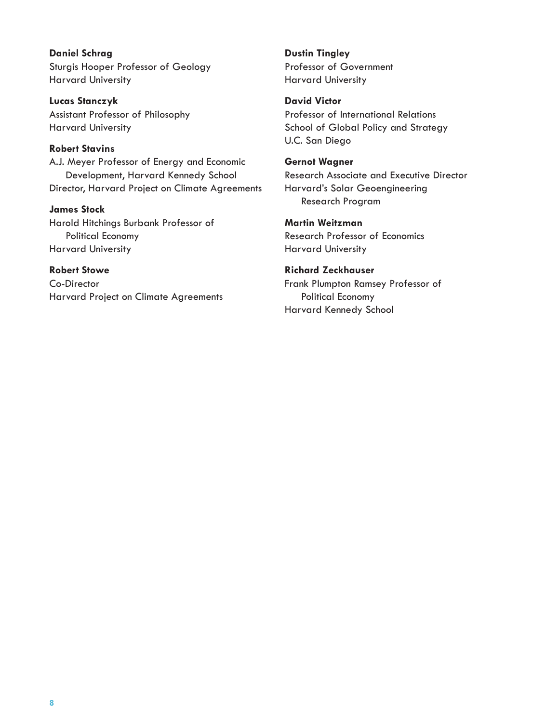**Daniel Schrag** Sturgis Hooper Professor of Geology Harvard University

**Lucas Stanczyk** Assistant Professor of Philosophy Harvard University

#### **Robert Stavins**

A.J. Meyer Professor of Energy and Economic Development, Harvard Kennedy School Director, Harvard Project on Climate Agreements

**James Stock**

Harold Hitchings Burbank Professor of Political Economy Harvard University

**Robert Stowe** Co-Director Harvard Project on Climate Agreements **Dustin Tingley** Professor of Government Harvard University

**David Victor** Professor of International Relations School of Global Policy and Strategy U.C. San Diego

**Gernot Wagner** Research Associate and Executive Director Harvard's Solar Geoengineering Research Program

**Martin Weitzman** Research Professor of Economics Harvard University

**Richard Zeckhauser** Frank Plumpton Ramsey Professor of Political Economy Harvard Kennedy School